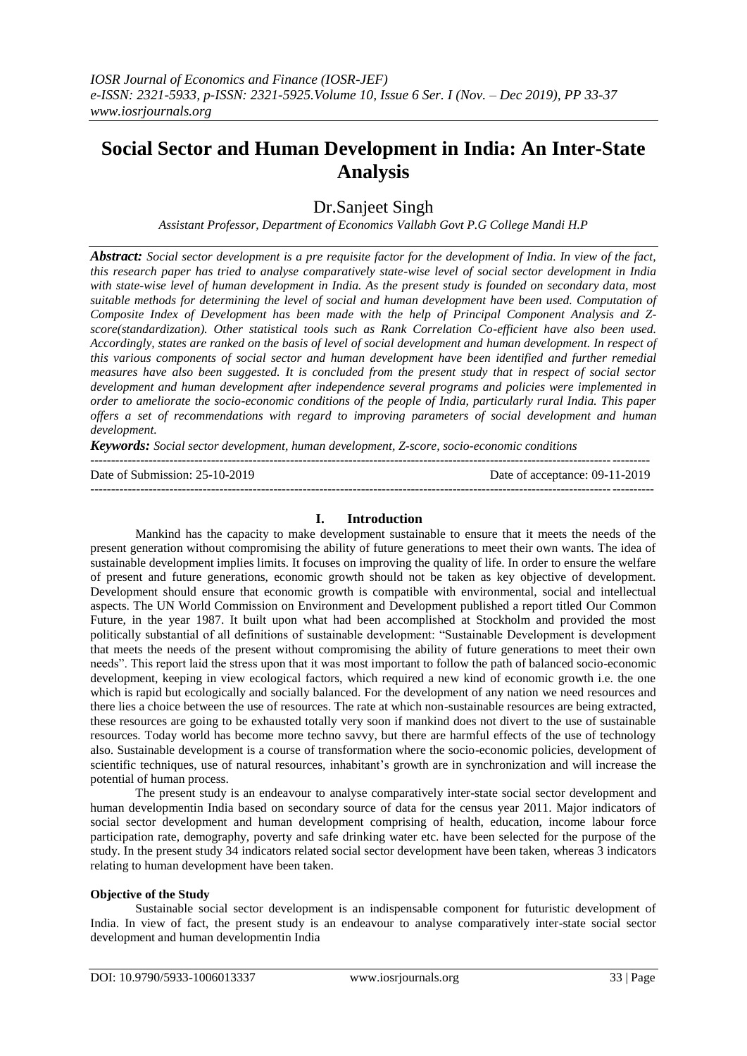# **Social Sector and Human Development in India: An Inter-State Analysis**

Dr.Sanjeet Singh

*Assistant Professor, Department of Economics Vallabh Govt P.G College Mandi H.P*

*Abstract: Social sector development is a pre requisite factor for the development of India. In view of the fact, this research paper has tried to analyse comparatively state-wise level of social sector development in India with state-wise level of human development in India. As the present study is founded on secondary data, most suitable methods for determining the level of social and human development have been used. Computation of Composite Index of Development has been made with the help of Principal Component Analysis and Zscore(standardization). Other statistical tools such as Rank Correlation Co-efficient have also been used. Accordingly, states are ranked on the basis of level of social development and human development. In respect of this various components of social sector and human development have been identified and further remedial measures have also been suggested. It is concluded from the present study that in respect of social sector development and human development after independence several programs and policies were implemented in order to ameliorate the socio-economic conditions of the people of India, particularly rural India. This paper offers a set of recommendations with regard to improving parameters of social development and human development.*

*Keywords: Social sector development, human development, Z-score, socio-economic conditions*

Date of Submission: 25-10-20

| Date of Submission: 25-10-2019 | Date of acceptance: $09-11-2019$ |
|--------------------------------|----------------------------------|
|                                |                                  |

## **I. Introduction**

--------------------------------------------------------------------------------------------------------------------------------------

Mankind has the capacity to make development sustainable to ensure that it meets the needs of the present generation without compromising the ability of future generations to meet their own wants. The idea of sustainable development implies limits. It focuses on improving the quality of life. In order to ensure the welfare of present and future generations, economic growth should not be taken as key objective of development. Development should ensure that economic growth is compatible with environmental, social and intellectual aspects. The UN World Commission on Environment and Development published a report titled Our Common Future, in the year 1987. It built upon what had been accomplished at Stockholm and provided the most politically substantial of all definitions of sustainable development: "Sustainable Development is development that meets the needs of the present without compromising the ability of future generations to meet their own needs". This report laid the stress upon that it was most important to follow the path of balanced socio-economic development, keeping in view ecological factors, which required a new kind of economic growth i.e. the one which is rapid but ecologically and socially balanced. For the development of any nation we need resources and there lies a choice between the use of resources. The rate at which non-sustainable resources are being extracted, these resources are going to be exhausted totally very soon if mankind does not divert to the use of sustainable resources. Today world has become more techno savvy, but there are harmful effects of the use of technology also. Sustainable development is a course of transformation where the socio-economic policies, development of scientific techniques, use of natural resources, inhabitant's growth are in synchronization and will increase the potential of human process.

The present study is an endeavour to analyse comparatively inter-state social sector development and human developmentin India based on secondary source of data for the census year 2011. Major indicators of social sector development and human development comprising of health, education, income labour force participation rate, demography, poverty and safe drinking water etc. have been selected for the purpose of the study. In the present study 34 indicators related social sector development have been taken, whereas 3 indicators relating to human development have been taken.

#### **Objective of the Study**

Sustainable social sector development is an indispensable component for futuristic development of India. In view of fact, the present study is an endeavour to analyse comparatively inter-state social sector development and human developmentin India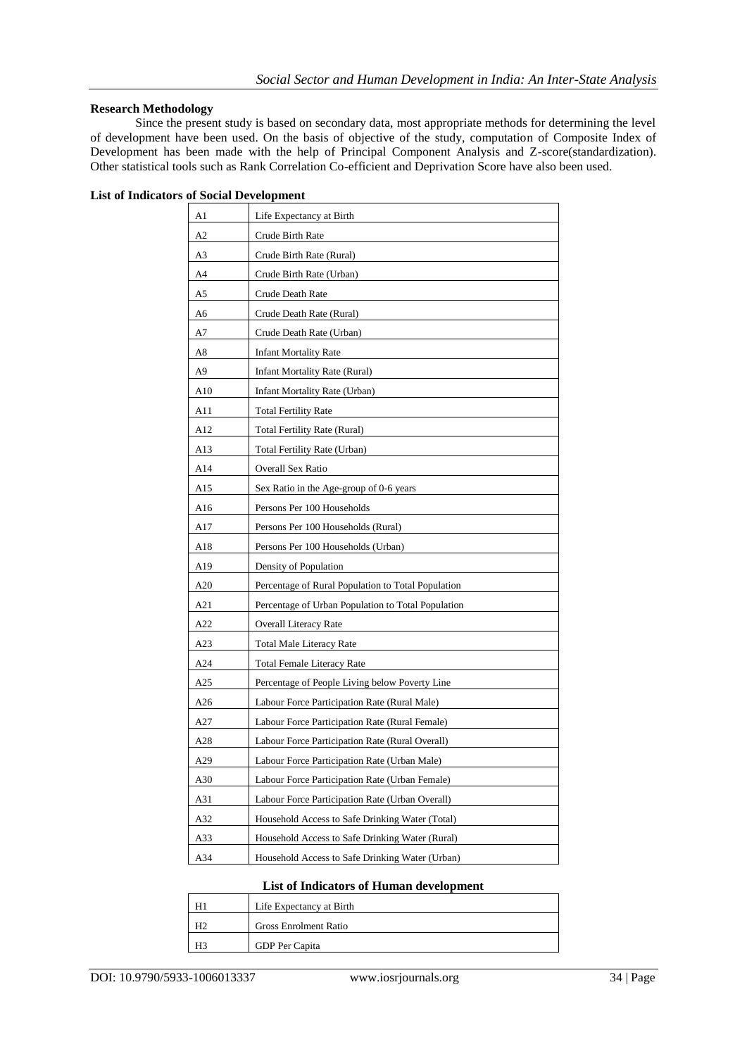٦

## **Research Methodology**

Since the present study is based on secondary data, most appropriate methods for determining the level of development have been used. On the basis of objective of the study, computation of Composite Index of Development has been made with the help of Principal Component Analysis and Z-score(standardization). Other statistical tools such as Rank Correlation Co-efficient and Deprivation Score have also been used.

| A1  | Life Expectancy at Birth                           |
|-----|----------------------------------------------------|
| A2  | Crude Birth Rate                                   |
| A3  | Crude Birth Rate (Rural)                           |
| A4  | Crude Birth Rate (Urban)                           |
| A5  | Crude Death Rate                                   |
| A6  | Crude Death Rate (Rural)                           |
| A7  | Crude Death Rate (Urban)                           |
| A8  | <b>Infant Mortality Rate</b>                       |
| A9  | <b>Infant Mortality Rate (Rural)</b>               |
| A10 | Infant Mortality Rate (Urban)                      |
| A11 | <b>Total Fertility Rate</b>                        |
| A12 | <b>Total Fertility Rate (Rural)</b>                |
| A13 | Total Fertility Rate (Urban)                       |
| A14 | Overall Sex Ratio                                  |
| A15 | Sex Ratio in the Age-group of 0-6 years            |
| A16 | Persons Per 100 Households                         |
| A17 | Persons Per 100 Households (Rural)                 |
| A18 | Persons Per 100 Households (Urban)                 |
| A19 | Density of Population                              |
| A20 | Percentage of Rural Population to Total Population |
| A21 | Percentage of Urban Population to Total Population |
| A22 | <b>Overall Literacy Rate</b>                       |
| A23 | <b>Total Male Literacy Rate</b>                    |
| A24 | <b>Total Female Literacy Rate</b>                  |
| A25 | Percentage of People Living below Poverty Line     |
| A26 | Labour Force Participation Rate (Rural Male)       |
| A27 | Labour Force Participation Rate (Rural Female)     |
| A28 | Labour Force Participation Rate (Rural Overall)    |
| A29 | Labour Force Participation Rate (Urban Male)       |
| A30 | Labour Force Participation Rate (Urban Female)     |
| A31 | Labour Force Participation Rate (Urban Overall)    |
| A32 | Household Access to Safe Drinking Water (Total)    |
| A33 | Household Access to Safe Drinking Water (Rural)    |
| A34 | Household Access to Safe Drinking Water (Urban)    |

#### **List of Indicators of Human development**

| Life Expectancy at Birth     |
|------------------------------|
| <b>Gross Enrolment Ratio</b> |
| GDP Per Capita               |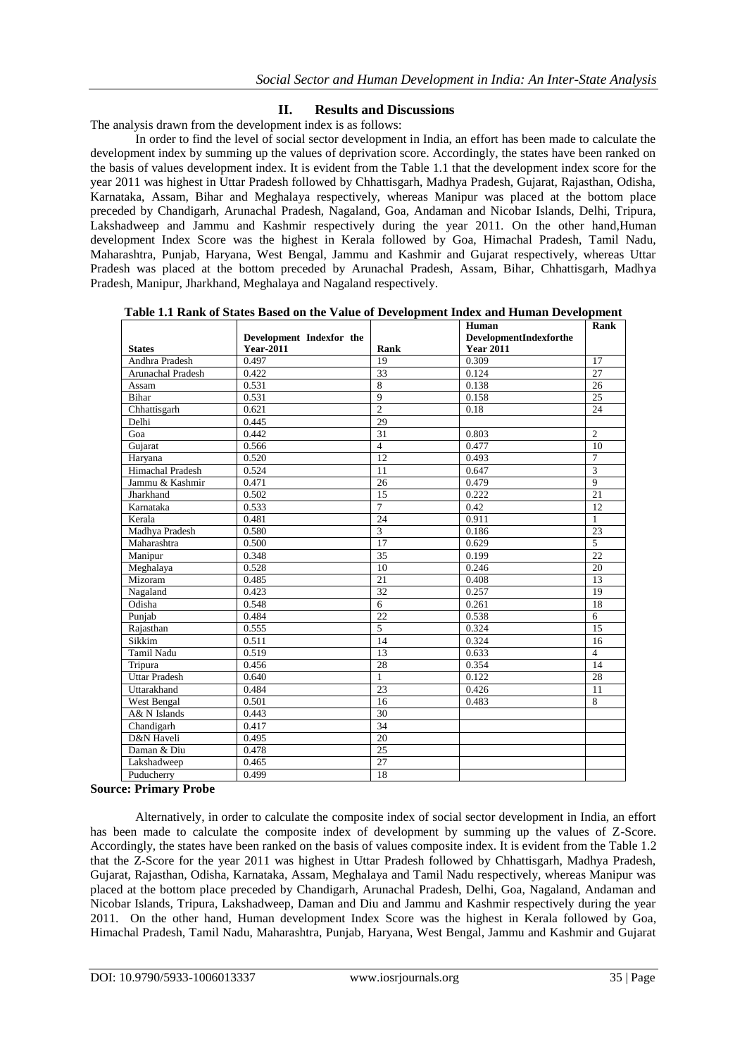## **II. Results and Discussions**

The analysis drawn from the development index is as follows:

In order to find the level of social sector development in India, an effort has been made to calculate the development index by summing up the values of deprivation score. Accordingly, the states have been ranked on the basis of values development index. It is evident from the Table 1.1 that the development index score for the year 2011 was highest in Uttar Pradesh followed by Chhattisgarh, Madhya Pradesh, Gujarat, Rajasthan, Odisha, Karnataka, Assam, Bihar and Meghalaya respectively, whereas Manipur was placed at the bottom place preceded by Chandigarh, Arunachal Pradesh, Nagaland, Goa, Andaman and Nicobar Islands, Delhi, Tripura, Lakshadweep and Jammu and Kashmir respectively during the year 2011. On the other hand,Human development Index Score was the highest in Kerala followed by Goa, Himachal Pradesh, Tamil Nadu, Maharashtra, Punjab, Haryana, West Bengal, Jammu and Kashmir and Gujarat respectively, whereas Uttar Pradesh was placed at the bottom preceded by Arunachal Pradesh, Assam, Bihar, Chhattisgarh, Madhya Pradesh, Manipur, Jharkhand, Meghalaya and Nagaland respectively.

**Table 1.1 Rank of States Based on the Value of Development Index and Human Development**

|                         |                          |                         | Human                  | Rank            |
|-------------------------|--------------------------|-------------------------|------------------------|-----------------|
|                         | Development Indexfor the |                         | DevelopmentIndexforthe |                 |
| <b>States</b>           | <b>Year-2011</b>         | Rank                    | <b>Year 2011</b>       |                 |
| Andhra Pradesh          | 0.497                    | 19                      | 0.309                  | 17              |
| Arunachal Pradesh       | 0.422                    | 33                      | 0.124                  | 27              |
| Assam                   | 0.531                    | $\overline{8}$          | 0.138                  | 26              |
| <b>Bihar</b>            | 0.531                    | 9                       | 0.158                  | 25              |
| Chhattisgarh            | 0.621                    | $\overline{2}$          | 0.18                   | 24              |
| Delhi                   | 0.445                    | 29                      |                        |                 |
| Goa                     | 0.442                    | 31                      | 0.803                  | $\overline{c}$  |
| Gujarat                 | 0.566                    | $\overline{4}$          | 0.477                  | 10              |
| Haryana                 | 0.520                    | 12                      | 0.493                  | 7               |
| <b>Himachal Pradesh</b> | 0.524                    | 11                      | 0.647                  | $\overline{3}$  |
| Jammu & Kashmir         | 0.471                    | 26                      | 0.479                  | $\overline{9}$  |
| Jharkhand               | 0.502                    | 15                      | 0.222                  | $\overline{21}$ |
| Karnataka               | 0.533                    | $\overline{7}$          | 0.42                   | 12              |
| Kerala                  | 0.481                    | 24                      | 0.911                  | $\mathbf{1}$    |
| Madhya Pradesh          | 0.580                    | $\overline{\mathbf{3}}$ | 0.186                  | 23              |
| Maharashtra             | 0.500                    | 17                      | 0.629                  | 5               |
| Manipur                 | 0.348                    | 35                      | 0.199                  | 22              |
| Meghalaya               | 0.528                    | 10                      | 0.246                  | 20              |
| Mizoram                 | 0.485                    | 21                      | 0.408                  | 13              |
| Nagaland                | 0.423                    | 32                      | 0.257                  | 19              |
| Odisha                  | 0.548                    | 6                       | 0.261                  | 18              |
| Punjab                  | 0.484                    | $\overline{22}$         | 0.538                  | 6               |
| Rajasthan               | 0.555                    | 5                       | 0.324                  | 15              |
| Sikkim                  | 0.511                    | 14                      | 0.324                  | 16              |
| <b>Tamil Nadu</b>       | 0.519                    | 13                      | 0.633                  | 4               |
| Tripura                 | 0.456                    | 28                      | 0.354                  | 14              |
| <b>Uttar Pradesh</b>    | 0.640                    | $\mathbf{1}$            | 0.122                  | 28              |
| Uttarakhand             | 0.484                    | 23                      | 0.426                  | 11              |
| West Bengal             | 0.501                    | 16                      | 0.483                  | 8               |
| A& N Islands            | 0.443                    | 30                      |                        |                 |
| Chandigarh              | 0.417                    | 34                      |                        |                 |
| D&N Haveli              | 0.495                    | 20                      |                        |                 |
| Daman & Diu             | 0.478                    | 25                      |                        |                 |
| Lakshadweep             | 0.465                    | 27                      |                        |                 |
| Puducherry              | 0.499                    | 18                      |                        |                 |

**Source: Primary Probe**

Alternatively, in order to calculate the composite index of social sector development in India, an effort has been made to calculate the composite index of development by summing up the values of Z-Score. Accordingly, the states have been ranked on the basis of values composite index. It is evident from the Table 1.2 that the Z-Score for the year 2011 was highest in Uttar Pradesh followed by Chhattisgarh, Madhya Pradesh, Gujarat, Rajasthan, Odisha, Karnataka, Assam, Meghalaya and Tamil Nadu respectively, whereas Manipur was placed at the bottom place preceded by Chandigarh, Arunachal Pradesh, Delhi, Goa, Nagaland, Andaman and Nicobar Islands, Tripura, Lakshadweep, Daman and Diu and Jammu and Kashmir respectively during the year 2011. On the other hand, Human development Index Score was the highest in Kerala followed by Goa, Himachal Pradesh, Tamil Nadu, Maharashtra, Punjab, Haryana, West Bengal, Jammu and Kashmir and Gujarat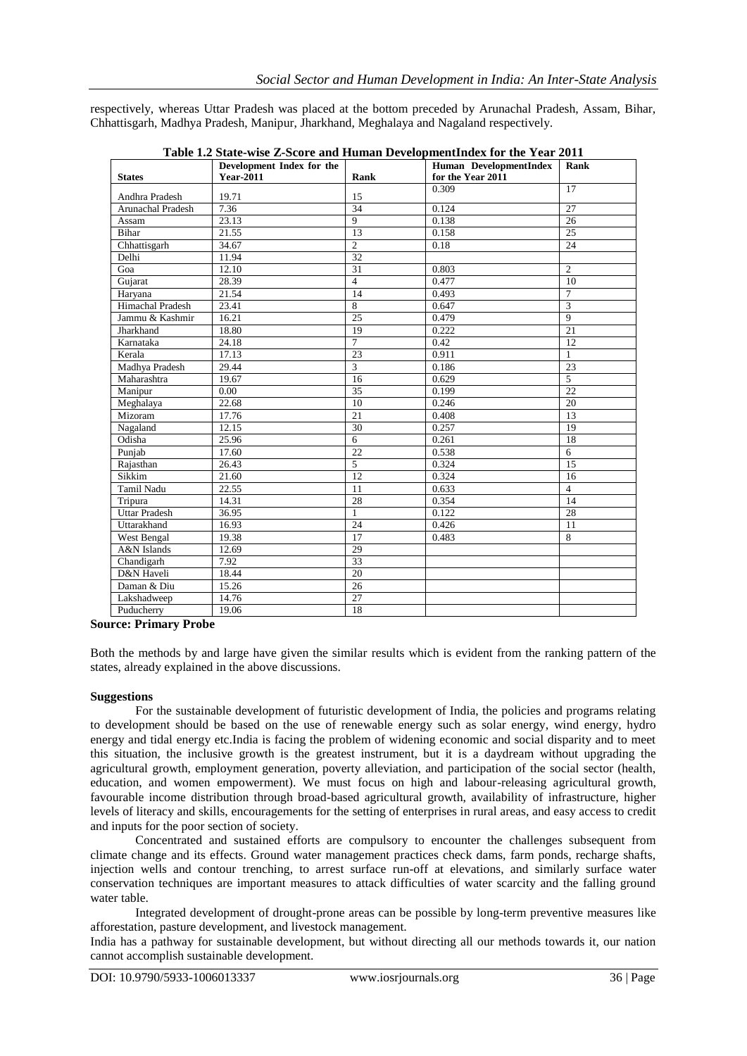respectively, whereas Uttar Pradesh was placed at the bottom preceded by Arunachal Pradesh, Assam, Bihar, Chhattisgarh, Madhya Pradesh, Manipur, Jharkhand, Meghalaya and Nagaland respectively.

| <b>Year-2011</b><br>for the Year 2011<br><b>States</b><br>Rank<br>0.309<br>17<br>Andhra Pradesh<br>19.71<br>15<br>7.36<br>34<br>Arunachal Pradesh<br>0.124<br>27<br>23.13<br>$\mathbf{Q}$<br>0.138<br>26<br>Assam<br>Bihar<br>21.55<br>13<br>0.158<br>25<br>34.67<br>$\overline{2}$<br>24<br>Chhattisgarh<br>0.18<br>32<br>Delhi<br>11.94<br>$\overline{2}$<br>Goa<br>12.10<br>31<br>0.803<br>Gujarat<br>28.39<br>$\overline{4}$<br>0.477<br>10<br>$\overline{7}$<br>21.54<br>14<br>0.493<br>Haryana<br>$\overline{3}$<br><b>Himachal Pradesh</b><br>8<br>23.41<br>0.647<br>$\overline{9}$<br>$\overline{25}$<br>Jammu & Kashmir<br>16.21<br>0.479<br>$\overline{21}$<br>Jharkhand<br>18.80<br>19<br>0.222<br>$\overline{7}$<br>Karnataka<br>12<br>24.18<br>0.42<br>23<br>Kerala<br>17.13<br>0.911<br>1<br>Madhya Pradesh<br>$\overline{3}$<br>29.44<br>0.186<br>23<br>$\overline{5}$<br>Maharashtra<br>19.67<br>16<br>0.629<br>$\overline{22}$<br>35<br>0.00<br>0.199<br>Manipur<br>22.68<br>10<br>0.246<br>$\overline{20}$<br>Meghalaya<br>21<br>Mizoram<br>17.76<br>0.408<br>13<br>30<br>0.257<br>Nagaland<br>12.15<br>19<br>6<br>18<br>Odisha<br>25.96<br>0.261<br>$\overline{22}$<br>$\overline{6}$<br>17.60<br>0.538<br>Punjab<br>$\overline{5}$<br>15<br>26.43<br>0.324<br>Rajasthan<br>$\overline{12}$<br>Sikkim<br>21.60<br>0.324<br>16<br>Tamil Nadu<br>$\overline{4}$<br>22.55<br>11<br>0.633<br>28<br>0.354<br>14<br>14.31<br>Tripura<br><b>Uttar Pradesh</b><br>0.122<br>28<br>36.95<br>$\mathbf{1}$<br>Uttarakhand<br>16.93<br>24<br>0.426<br>11<br>West Bengal<br>19.38<br>17<br>8<br>0.483<br>29<br>A&N Islands<br>12.69<br>$\overline{33}$<br>Chandigarh<br>7.92<br>D&N Haveli<br>18.44<br>20<br>15.26<br>$\overline{26}$<br>Daman & Diu<br>27<br>Lakshadweep<br>14.76 |            | Development Index for the |    | Human DevelopmentIndex | Rank |
|-----------------------------------------------------------------------------------------------------------------------------------------------------------------------------------------------------------------------------------------------------------------------------------------------------------------------------------------------------------------------------------------------------------------------------------------------------------------------------------------------------------------------------------------------------------------------------------------------------------------------------------------------------------------------------------------------------------------------------------------------------------------------------------------------------------------------------------------------------------------------------------------------------------------------------------------------------------------------------------------------------------------------------------------------------------------------------------------------------------------------------------------------------------------------------------------------------------------------------------------------------------------------------------------------------------------------------------------------------------------------------------------------------------------------------------------------------------------------------------------------------------------------------------------------------------------------------------------------------------------------------------------------------------------------------------------------------------------------------------------------------------------------------------------|------------|---------------------------|----|------------------------|------|
|                                                                                                                                                                                                                                                                                                                                                                                                                                                                                                                                                                                                                                                                                                                                                                                                                                                                                                                                                                                                                                                                                                                                                                                                                                                                                                                                                                                                                                                                                                                                                                                                                                                                                                                                                                                         |            |                           |    |                        |      |
|                                                                                                                                                                                                                                                                                                                                                                                                                                                                                                                                                                                                                                                                                                                                                                                                                                                                                                                                                                                                                                                                                                                                                                                                                                                                                                                                                                                                                                                                                                                                                                                                                                                                                                                                                                                         |            |                           |    |                        |      |
|                                                                                                                                                                                                                                                                                                                                                                                                                                                                                                                                                                                                                                                                                                                                                                                                                                                                                                                                                                                                                                                                                                                                                                                                                                                                                                                                                                                                                                                                                                                                                                                                                                                                                                                                                                                         |            |                           |    |                        |      |
|                                                                                                                                                                                                                                                                                                                                                                                                                                                                                                                                                                                                                                                                                                                                                                                                                                                                                                                                                                                                                                                                                                                                                                                                                                                                                                                                                                                                                                                                                                                                                                                                                                                                                                                                                                                         |            |                           |    |                        |      |
|                                                                                                                                                                                                                                                                                                                                                                                                                                                                                                                                                                                                                                                                                                                                                                                                                                                                                                                                                                                                                                                                                                                                                                                                                                                                                                                                                                                                                                                                                                                                                                                                                                                                                                                                                                                         |            |                           |    |                        |      |
|                                                                                                                                                                                                                                                                                                                                                                                                                                                                                                                                                                                                                                                                                                                                                                                                                                                                                                                                                                                                                                                                                                                                                                                                                                                                                                                                                                                                                                                                                                                                                                                                                                                                                                                                                                                         |            |                           |    |                        |      |
|                                                                                                                                                                                                                                                                                                                                                                                                                                                                                                                                                                                                                                                                                                                                                                                                                                                                                                                                                                                                                                                                                                                                                                                                                                                                                                                                                                                                                                                                                                                                                                                                                                                                                                                                                                                         |            |                           |    |                        |      |
|                                                                                                                                                                                                                                                                                                                                                                                                                                                                                                                                                                                                                                                                                                                                                                                                                                                                                                                                                                                                                                                                                                                                                                                                                                                                                                                                                                                                                                                                                                                                                                                                                                                                                                                                                                                         |            |                           |    |                        |      |
|                                                                                                                                                                                                                                                                                                                                                                                                                                                                                                                                                                                                                                                                                                                                                                                                                                                                                                                                                                                                                                                                                                                                                                                                                                                                                                                                                                                                                                                                                                                                                                                                                                                                                                                                                                                         |            |                           |    |                        |      |
|                                                                                                                                                                                                                                                                                                                                                                                                                                                                                                                                                                                                                                                                                                                                                                                                                                                                                                                                                                                                                                                                                                                                                                                                                                                                                                                                                                                                                                                                                                                                                                                                                                                                                                                                                                                         |            |                           |    |                        |      |
|                                                                                                                                                                                                                                                                                                                                                                                                                                                                                                                                                                                                                                                                                                                                                                                                                                                                                                                                                                                                                                                                                                                                                                                                                                                                                                                                                                                                                                                                                                                                                                                                                                                                                                                                                                                         |            |                           |    |                        |      |
|                                                                                                                                                                                                                                                                                                                                                                                                                                                                                                                                                                                                                                                                                                                                                                                                                                                                                                                                                                                                                                                                                                                                                                                                                                                                                                                                                                                                                                                                                                                                                                                                                                                                                                                                                                                         |            |                           |    |                        |      |
|                                                                                                                                                                                                                                                                                                                                                                                                                                                                                                                                                                                                                                                                                                                                                                                                                                                                                                                                                                                                                                                                                                                                                                                                                                                                                                                                                                                                                                                                                                                                                                                                                                                                                                                                                                                         |            |                           |    |                        |      |
|                                                                                                                                                                                                                                                                                                                                                                                                                                                                                                                                                                                                                                                                                                                                                                                                                                                                                                                                                                                                                                                                                                                                                                                                                                                                                                                                                                                                                                                                                                                                                                                                                                                                                                                                                                                         |            |                           |    |                        |      |
|                                                                                                                                                                                                                                                                                                                                                                                                                                                                                                                                                                                                                                                                                                                                                                                                                                                                                                                                                                                                                                                                                                                                                                                                                                                                                                                                                                                                                                                                                                                                                                                                                                                                                                                                                                                         |            |                           |    |                        |      |
|                                                                                                                                                                                                                                                                                                                                                                                                                                                                                                                                                                                                                                                                                                                                                                                                                                                                                                                                                                                                                                                                                                                                                                                                                                                                                                                                                                                                                                                                                                                                                                                                                                                                                                                                                                                         |            |                           |    |                        |      |
|                                                                                                                                                                                                                                                                                                                                                                                                                                                                                                                                                                                                                                                                                                                                                                                                                                                                                                                                                                                                                                                                                                                                                                                                                                                                                                                                                                                                                                                                                                                                                                                                                                                                                                                                                                                         |            |                           |    |                        |      |
|                                                                                                                                                                                                                                                                                                                                                                                                                                                                                                                                                                                                                                                                                                                                                                                                                                                                                                                                                                                                                                                                                                                                                                                                                                                                                                                                                                                                                                                                                                                                                                                                                                                                                                                                                                                         |            |                           |    |                        |      |
|                                                                                                                                                                                                                                                                                                                                                                                                                                                                                                                                                                                                                                                                                                                                                                                                                                                                                                                                                                                                                                                                                                                                                                                                                                                                                                                                                                                                                                                                                                                                                                                                                                                                                                                                                                                         |            |                           |    |                        |      |
|                                                                                                                                                                                                                                                                                                                                                                                                                                                                                                                                                                                                                                                                                                                                                                                                                                                                                                                                                                                                                                                                                                                                                                                                                                                                                                                                                                                                                                                                                                                                                                                                                                                                                                                                                                                         |            |                           |    |                        |      |
|                                                                                                                                                                                                                                                                                                                                                                                                                                                                                                                                                                                                                                                                                                                                                                                                                                                                                                                                                                                                                                                                                                                                                                                                                                                                                                                                                                                                                                                                                                                                                                                                                                                                                                                                                                                         |            |                           |    |                        |      |
|                                                                                                                                                                                                                                                                                                                                                                                                                                                                                                                                                                                                                                                                                                                                                                                                                                                                                                                                                                                                                                                                                                                                                                                                                                                                                                                                                                                                                                                                                                                                                                                                                                                                                                                                                                                         |            |                           |    |                        |      |
|                                                                                                                                                                                                                                                                                                                                                                                                                                                                                                                                                                                                                                                                                                                                                                                                                                                                                                                                                                                                                                                                                                                                                                                                                                                                                                                                                                                                                                                                                                                                                                                                                                                                                                                                                                                         |            |                           |    |                        |      |
|                                                                                                                                                                                                                                                                                                                                                                                                                                                                                                                                                                                                                                                                                                                                                                                                                                                                                                                                                                                                                                                                                                                                                                                                                                                                                                                                                                                                                                                                                                                                                                                                                                                                                                                                                                                         |            |                           |    |                        |      |
|                                                                                                                                                                                                                                                                                                                                                                                                                                                                                                                                                                                                                                                                                                                                                                                                                                                                                                                                                                                                                                                                                                                                                                                                                                                                                                                                                                                                                                                                                                                                                                                                                                                                                                                                                                                         |            |                           |    |                        |      |
|                                                                                                                                                                                                                                                                                                                                                                                                                                                                                                                                                                                                                                                                                                                                                                                                                                                                                                                                                                                                                                                                                                                                                                                                                                                                                                                                                                                                                                                                                                                                                                                                                                                                                                                                                                                         |            |                           |    |                        |      |
|                                                                                                                                                                                                                                                                                                                                                                                                                                                                                                                                                                                                                                                                                                                                                                                                                                                                                                                                                                                                                                                                                                                                                                                                                                                                                                                                                                                                                                                                                                                                                                                                                                                                                                                                                                                         |            |                           |    |                        |      |
|                                                                                                                                                                                                                                                                                                                                                                                                                                                                                                                                                                                                                                                                                                                                                                                                                                                                                                                                                                                                                                                                                                                                                                                                                                                                                                                                                                                                                                                                                                                                                                                                                                                                                                                                                                                         |            |                           |    |                        |      |
|                                                                                                                                                                                                                                                                                                                                                                                                                                                                                                                                                                                                                                                                                                                                                                                                                                                                                                                                                                                                                                                                                                                                                                                                                                                                                                                                                                                                                                                                                                                                                                                                                                                                                                                                                                                         |            |                           |    |                        |      |
|                                                                                                                                                                                                                                                                                                                                                                                                                                                                                                                                                                                                                                                                                                                                                                                                                                                                                                                                                                                                                                                                                                                                                                                                                                                                                                                                                                                                                                                                                                                                                                                                                                                                                                                                                                                         |            |                           |    |                        |      |
|                                                                                                                                                                                                                                                                                                                                                                                                                                                                                                                                                                                                                                                                                                                                                                                                                                                                                                                                                                                                                                                                                                                                                                                                                                                                                                                                                                                                                                                                                                                                                                                                                                                                                                                                                                                         |            |                           |    |                        |      |
|                                                                                                                                                                                                                                                                                                                                                                                                                                                                                                                                                                                                                                                                                                                                                                                                                                                                                                                                                                                                                                                                                                                                                                                                                                                                                                                                                                                                                                                                                                                                                                                                                                                                                                                                                                                         |            |                           |    |                        |      |
|                                                                                                                                                                                                                                                                                                                                                                                                                                                                                                                                                                                                                                                                                                                                                                                                                                                                                                                                                                                                                                                                                                                                                                                                                                                                                                                                                                                                                                                                                                                                                                                                                                                                                                                                                                                         |            |                           |    |                        |      |
|                                                                                                                                                                                                                                                                                                                                                                                                                                                                                                                                                                                                                                                                                                                                                                                                                                                                                                                                                                                                                                                                                                                                                                                                                                                                                                                                                                                                                                                                                                                                                                                                                                                                                                                                                                                         |            |                           |    |                        |      |
|                                                                                                                                                                                                                                                                                                                                                                                                                                                                                                                                                                                                                                                                                                                                                                                                                                                                                                                                                                                                                                                                                                                                                                                                                                                                                                                                                                                                                                                                                                                                                                                                                                                                                                                                                                                         |            |                           |    |                        |      |
|                                                                                                                                                                                                                                                                                                                                                                                                                                                                                                                                                                                                                                                                                                                                                                                                                                                                                                                                                                                                                                                                                                                                                                                                                                                                                                                                                                                                                                                                                                                                                                                                                                                                                                                                                                                         |            |                           |    |                        |      |
|                                                                                                                                                                                                                                                                                                                                                                                                                                                                                                                                                                                                                                                                                                                                                                                                                                                                                                                                                                                                                                                                                                                                                                                                                                                                                                                                                                                                                                                                                                                                                                                                                                                                                                                                                                                         | Puducherry | 19.06                     | 18 |                        |      |

**Table 1.2 State-wise Z-Score and Human DevelopmentIndex for the Year 2011**

**Source: Primary Probe**

Both the methods by and large have given the similar results which is evident from the ranking pattern of the states, already explained in the above discussions.

#### **Suggestions**

For the sustainable development of futuristic development of India, the policies and programs relating to development should be based on the use of renewable energy such as solar energy, wind energy, hydro energy and tidal energy etc.India is facing the problem of widening economic and social disparity and to meet this situation, the inclusive growth is the greatest instrument, but it is a daydream without upgrading the agricultural growth, employment generation, poverty alleviation, and participation of the social sector (health, education, and women empowerment). We must focus on high and labour-releasing agricultural growth, favourable income distribution through broad-based agricultural growth, availability of infrastructure, higher levels of literacy and skills, encouragements for the setting of enterprises in rural areas, and easy access to credit and inputs for the poor section of society.

Concentrated and sustained efforts are compulsory to encounter the challenges subsequent from climate change and its effects. Ground water management practices check dams, farm ponds, recharge shafts, injection wells and contour trenching, to arrest surface run-off at elevations, and similarly surface water conservation techniques are important measures to attack difficulties of water scarcity and the falling ground water table.

Integrated development of drought-prone areas can be possible by long-term preventive measures like afforestation, pasture development, and livestock management.

India has a pathway for sustainable development, but without directing all our methods towards it, our nation cannot accomplish sustainable development.